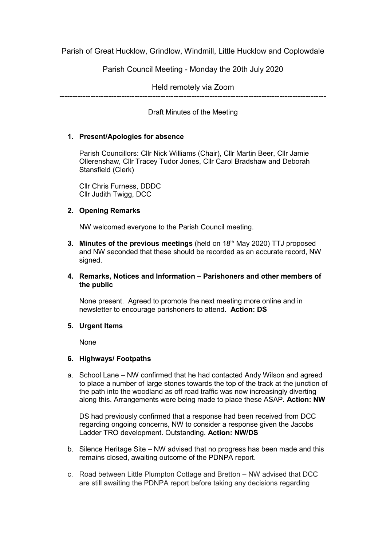Parish of Great Hucklow, Grindlow, Windmill, Little Hucklow and Coplowdale

Parish Council Meeting - Monday the 20th July 2020

Held remotely via Zoom

-------------------------------------------------------------------------------------------------------

Draft Minutes of the Meeting

# **1. Present/Apologies for absence**

Parish Councillors: Cllr Nick Williams (Chair), Cllr Martin Beer, Cllr Jamie Ollerenshaw, Cllr Tracey Tudor Jones, Cllr Carol Bradshaw and Deborah Stansfield (Clerk)

Cllr Chris Furness, DDDC Cllr Judith Twigg, DCC

# **2. Opening Remarks**

NW welcomed everyone to the Parish Council meeting.

**3. Minutes of the previous meetings** (held on 18<sup>th</sup> May 2020) TTJ proposed and NW seconded that these should be recorded as an accurate record, NW signed.

# **4. Remarks, Notices and Information – Parishoners and other members of the public**

None present. Agreed to promote the next meeting more online and in newsletter to encourage parishoners to attend. **Action: DS**

# **5. Urgent Items**

None

# **6. Highways/ Footpaths**

a. School Lane – NW confirmed that he had contacted Andy Wilson and agreed to place a number of large stones towards the top of the track at the junction of the path into the woodland as off road traffic was now increasingly diverting along this. Arrangements were being made to place these ASAP. **Action: NW**

DS had previously confirmed that a response had been received from DCC regarding ongoing concerns, NW to consider a response given the Jacobs Ladder TRO development. Outstanding. **Action: NW/DS**

- b. Silence Heritage Site NW advised that no progress has been made and this remains closed, awaiting outcome of the PDNPA report.
- c. Road between Little Plumpton Cottage and Bretton NW advised that DCC are still awaiting the PDNPA report before taking any decisions regarding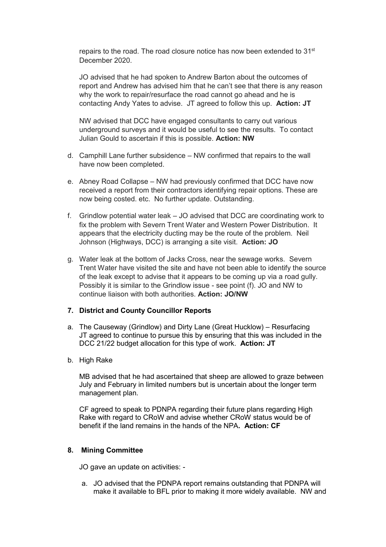repairs to the road. The road closure notice has now been extended to 31<sup>st</sup> December 2020.

JO advised that he had spoken to Andrew Barton about the outcomes of report and Andrew has advised him that he can't see that there is any reason why the work to repair/resurface the road cannot go ahead and he is contacting Andy Yates to advise. JT agreed to follow this up. **Action: JT**

NW advised that DCC have engaged consultants to carry out various underground surveys and it would be useful to see the results. To contact Julian Gould to ascertain if this is possible. **Action: NW**

- d. Camphill Lane further subsidence NW confirmed that repairs to the wall have now been completed.
- e. Abney Road Collapse NW had previously confirmed that DCC have now received a report from their contractors identifying repair options. These are now being costed. etc. No further update. Outstanding.
- f. Grindlow potential water leak JO advised that DCC are coordinating work to fix the problem with Severn Trent Water and Western Power Distribution. It appears that the electricity ducting may be the route of the problem. Neil Johnson (Highways, DCC) is arranging a site visit. **Action: JO**
- g. Water leak at the bottom of Jacks Cross, near the sewage works. Severn Trent Water have visited the site and have not been able to identify the source of the leak except to advise that it appears to be coming up via a road gully. Possibly it is similar to the Grindlow issue - see point (f). JO and NW to continue liaison with both authorities. **Action: JO/NW**

#### **7. District and County Councillor Reports**

a. The Causeway (Grindlow) and Dirty Lane (Great Hucklow) – Resurfacing JT agreed to continue to pursue this by ensuring that this was included in the DCC 21/22 budget allocation for this type of work. **Action: JT**

#### b. High Rake

MB advised that he had ascertained that sheep are allowed to graze between July and February in limited numbers but is uncertain about the longer term management plan.

CF agreed to speak to PDNPA regarding their future plans regarding High Rake with regard to CRoW and advise whether CRoW status would be of benefit if the land remains in the hands of the NPA**. Action: CF**

#### **8. Mining Committee**

JO gave an update on activities: -

a. JO advised that the PDNPA report remains outstanding that PDNPA will make it available to BFL prior to making it more widely available. NW and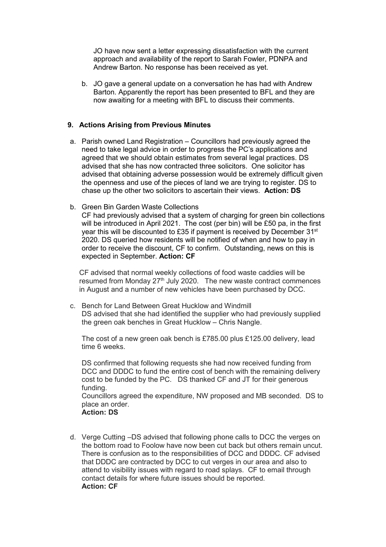JO have now sent a letter expressing dissatisfaction with the current approach and availability of the report to Sarah Fowler, PDNPA and Andrew Barton. No response has been received as yet.

b. JO gave a general update on a conversation he has had with Andrew Barton. Apparently the report has been presented to BFL and they are now awaiting for a meeting with BFL to discuss their comments.

### **9. Actions Arising from Previous Minutes**

- a. Parish owned Land Registration Councillors had previously agreed the need to take legal advice in order to progress the PC's applications and agreed that we should obtain estimates from several legal practices. DS advised that she has now contracted three solicitors. One solicitor has advised that obtaining adverse possession would be extremely difficult given the openness and use of the pieces of land we are trying to register. DS to chase up the other two solicitors to ascertain their views. **Action: DS**
- b. Green Bin Garden Waste Collections

CF had previously advised that a system of charging for green bin collections will be introduced in April 2021. The cost (per bin) will be £50 pa, in the first year this will be discounted to £35 if payment is received by December 31<sup>st</sup> 2020. DS queried how residents will be notified of when and how to pay in order to receive the discount, CF to confirm. Outstanding, news on this is expected in September. **Action: CF**

CF advised that normal weekly collections of food waste caddies will be resumed from Monday 27<sup>th</sup> July 2020. The new waste contract commences in August and a number of new vehicles have been purchased by DCC.

c. Bench for Land Between Great Hucklow and Windmill DS advised that she had identified the supplier who had previously supplied the green oak benches in Great Hucklow – Chris Nangle.

The cost of a new green oak bench is £785.00 plus £125.00 delivery, lead time 6 weeks.

DS confirmed that following requests she had now received funding from DCC and DDDC to fund the entire cost of bench with the remaining delivery cost to be funded by the PC. DS thanked CF and JT for their generous funding.

Councillors agreed the expenditure, NW proposed and MB seconded. DS to place an order.

**Action: DS** 

d. Verge Cutting –DS advised that following phone calls to DCC the verges on the bottom road to Foolow have now been cut back but others remain uncut. There is confusion as to the responsibilities of DCC and DDDC. CF advised that DDDC are contracted by DCC to cut verges in our area and also to attend to visibility issues with regard to road splays. CF to email through contact details for where future issues should be reported. **Action: CF**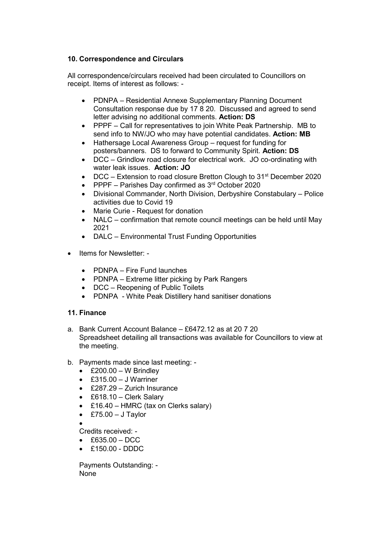# **10. Correspondence and Circulars**

All correspondence/circulars received had been circulated to Councillors on receipt. Items of interest as follows: -

- PDNPA Residential Annexe Supplementary Planning Document Consultation response due by 17 8 20. Discussed and agreed to send letter advising no additional comments. **Action: DS**
- PPPF Call for representatives to join White Peak Partnership. MB to send info to NW/JO who may have potential candidates. **Action: MB**
- Hathersage Local Awareness Group request for funding for posters/banners. DS to forward to Community Spirit. **Action: DS**
- DCC Grindlow road closure for electrical work. JO co-ordinating with water leak issues. **Action: JO**
- $\bullet$  DCC Extension to road closure Bretton Clough to 31<sup>st</sup> December 2020
- PPPF Parishes Day confirmed as 3rd October 2020
- Divisional Commander, North Division, Derbyshire Constabulary Police activities due to Covid 19
- Marie Curie Request for donation
- NALC confirmation that remote council meetings can be held until May 2021
- DALC Environmental Trust Funding Opportunities
- Items for Newsletter:
	- PDNPA Fire Fund launches
	- PDNPA Extreme litter picking by Park Rangers
	- DCC Reopening of Public Toilets
	- PDNPA White Peak Distillery hand sanitiser donations

# **11. Finance**

- a. Bank Current Account Balance £6472.12 as at 20 7 20 Spreadsheet detailing all transactions was available for Councillors to view at the meeting.
- b. Payments made since last meeting:
	- $\triangle$  £200.00 W Brindley
	- $\cdot$  £315.00 J Warriner
	- £287.29 Zurich Insurance
	- £618.10 Clerk Salary
	- £16.40 HMRC (tax on Clerks salary)
	- $\textdegree$  £75.00 J Taylor

 $\bullet$ 

- Credits received: -
- $\triangle$  £635.00 DCC
- $\cdot$  £150.00 DDDC

Payments Outstanding: - None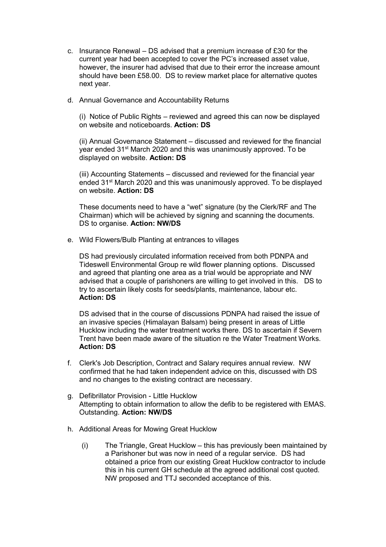- c. Insurance Renewal DS advised that a premium increase of £30 for the current year had been accepted to cover the PC's increased asset value, however, the insurer had advised that due to their error the increase amount should have been £58.00. DS to review market place for alternative quotes next year.
- d. Annual Governance and Accountability Returns

(i) Notice of Public Rights – reviewed and agreed this can now be displayed on website and noticeboards. **Action: DS**

(ii) Annual Governance Statement – discussed and reviewed for the financial year ended 31<sup>st</sup> March 2020 and this was unanimously approved. To be displayed on website. **Action: DS**

(iii) Accounting Statements – discussed and reviewed for the financial year ended 31<sup>st</sup> March 2020 and this was unanimously approved. To be displayed on website. **Action: DS**

These documents need to have a "wet" signature (by the Clerk/RF and The Chairman) which will be achieved by signing and scanning the documents. DS to organise. **Action: NW/DS**

e. Wild Flowers/Bulb Planting at entrances to villages

DS had previously circulated information received from both PDNPA and Tideswell Environmental Group re wild flower planning options. Discussed and agreed that planting one area as a trial would be appropriate and NW advised that a couple of parishoners are willing to get involved in this. DS to try to ascertain likely costs for seeds/plants, maintenance, labour etc. **Action: DS** 

DS advised that in the course of discussions PDNPA had raised the issue of an invasive species (Himalayan Balsam) being present in areas of Little Hucklow including the water treatment works there. DS to ascertain if Severn Trent have been made aware of the situation re the Water Treatment Works. **Action: DS**

- f. Clerk's Job Description, Contract and Salary requires annual review. NW confirmed that he had taken independent advice on this, discussed with DS and no changes to the existing contract are necessary.
- g. Defibrillator Provision Little Hucklow Attempting to obtain information to allow the defib to be registered with EMAS. Outstanding. **Action: NW/DS**
- h. Additional Areas for Mowing Great Hucklow
	- (i) The Triangle, Great Hucklow this has previously been maintained by a Parishoner but was now in need of a regular service. DS had obtained a price from our existing Great Hucklow contractor to include this in his current GH schedule at the agreed additional cost quoted. NW proposed and TTJ seconded acceptance of this.